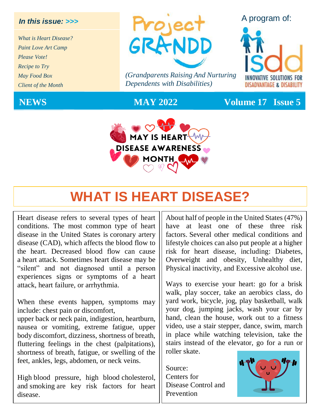#### *In this issue: >>>*

*What is Heart Disease? Paint Love Art Camp Please Vote! Recipe to Try May Food Box Client of the Month*



*(Grandparents Raising And Nurturing Dependents with Disabilities)*



#### A program of:



**NEWS MAY 2022 Volume 17 Issue 5**

# **WHAT IS HEART DISEASE?**

Heart disease refers to several types of heart conditions. The most common type of heart disease in the United States is [coronary artery](https://www.cdc.gov/heartdisease/coronary_ad.htm)  [disease](https://www.cdc.gov/heartdisease/coronary_ad.htm) (CAD), which affects the blood flow to the heart. Decreased blood flow can cause a [heart attack.](https://www.cdc.gov/heartdisease/heart_attack.htm) Sometimes heart disease may be "silent" and not diagnosed until a person experiences signs or symptoms of a heart attack, heart failure, or arrhythmia.

When these events happen, symptoms may include: chest pain or discomfort,

upper back or neck pain, indigestion, heartburn, nausea or vomiting, extreme fatigue, upper body discomfort, dizziness, shortness of breath, fluttering feelings in the chest (palpitations), shortness of breath, fatigue, or swelling of the feet, ankles, legs, abdomen, or neck veins.

High [blood pressure,](https://www.cdc.gov/bloodpressure/) high blood [cholesterol,](https://www.cdc.gov/cholesterol/) and [smoking](https://www.cdc.gov/tobacco/index.htm) are key risk factors for heart disease.

About half of people in the United States (47%) have at least one of these three risk factors. Several other medical conditions and lifestyle choices can also put people at a higher risk for heart disease, including: [Diabetes,](https://www.cdc.gov/diabetes/basics/diabetes.html) [Overweight and obesity,](https://www.cdc.gov/obesity/index.html) [Unhealthy diet,](https://www.cdc.gov/healthyweight/healthy_eating/index.html) [Physical inactivity,](https://www.cdc.gov/physicalactivity/index.html) and [Excessive alcohol use.](https://www.cdc.gov/alcohol/fact-sheets/alcohol-use.htm)

Ways to exercise your heart: go for a brisk walk, play soccer, take an aerobics class, do yard work, bicycle, jog, play basketball, walk your dog, jumping jacks, wash your car by hand, clean the house, work out to a fitness video, use a stair stepper, dance, swim, march in place while watching television, take the stairs instead of the elevator, go for a run or roller skate.

Source: Centers for Disease Control and Prevention

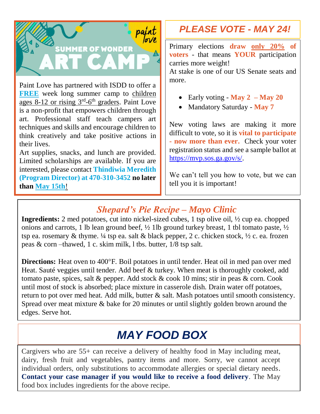

Paint Love has partnered with ISDD to offer a **FREE** week long summer camp to children ages 8-12 or rising 3<sup>rd</sup>-6<sup>th</sup> graders. Paint Love is a non-profit that empowers children through art. Professional staff teach campers art techniques and skills and encourage children to think creatively and take positive actions in their lives.

Art supplies, snacks, and lunch are provided. Limited scholarships are available. If you are interested, please contact **Thindiwia Meredith (Program Director) at 470-310-3452 no later than May 15th**!

## *PLEASE VOTE - MAY 24!*

Primary elections **draw only 20% of voters** - that means **YOUR** participation carries more weight!

At stake is one of our US Senate seats and more.

- Early voting **May 2 – May 20**
- Mandatory Saturday **May 7**

New voting laws are making it more difficult to vote, so it is **vital to participate - now more than ever.** Check your voter registration status and see a sample ballot at [https://mvp.sos.ga.gov/s/.](https://mvp.sos.ga.gov/s/)

We can't tell you how to vote, but we can tell you it is important!

### *Shepard's Pie Recipe – Mayo Clinic*

**Ingredients:** 2 med potatoes, cut into nickel-sized cubes, 1 tsp olive oil, ½ cup ea. chopped onions and carrots, 1 lb lean ground beef,  $\frac{1}{2}$  1lb ground turkey breast, 1 tbl tomato paste,  $\frac{1}{2}$ tsp ea. rosemary & thyme.  $\frac{1}{4}$  tsp ea. salt & black pepper, 2 c. chicken stock,  $\frac{1}{2}$  c. ea. frozen peas & corn –thawed, 1 c. skim milk, l tbs. butter, 1/8 tsp salt.

**Directions:** Heat oven to 400°F. Boil potatoes in until tender. Heat oil in med pan over med Heat. Sauté veggies until tender. Add beef & turkey. When meat is thoroughly cooked, add tomato paste, spices, salt & pepper. Add stock & cook 10 mins; stir in peas & corn. Cook until most of stock is absorbed; place mixture in casserole dish. Drain water off potatoes, return to pot over med heat. Add milk, butter & salt. Mash potatoes until smooth consistency. Spread over meat mixture & bake for 20 minutes or until slightly golden brown around the edges. Serve hot.

# *MAY FOOD BOX*

Cargivers who are 55+ can receive a delivery of healthy food in May including meat, dairy, fresh fruit and vegetables, pantry items and more. Sorry, we cannot accept individual orders, only substitutions to accommodate allergies or special dietary needs. **Contact your case manager if you would like to receive a food delivery**. The May food box includes ingredients for the above recipe.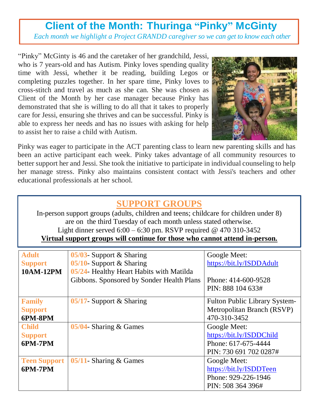## **Client of the Month: Thuringa "Pinky" McGinty**

*Each month we highlight a Project GRANDD caregiver so we can get to know each other*

"Pinky" McGinty is 46 and the caretaker of her grandchild, Jessi, who is 7 years-old and has Autism. Pinky loves spending quality time with Jessi, whether it be reading, building Legos or completing puzzles together. In her spare time, Pinky loves to cross-stitch and travel as much as she can. She was chosen as Client of the Month by her case manager because Pinky has demonstrated that she is willing to do all that it takes to properly care for Jessi, ensuring she thrives and can be successful. Pinky is able to express her needs and has no issues with asking for help to assist her to raise a child with Autism.



Pinky was eager to participate in the ACT parenting class to learn new parenting skills and has been an active participant each week. Pinky takes advantage of all community resources to better support her and Jessi. She took the initiative to participate in individual counseling to help her manage stress. Pinky also maintains consistent contact with Jessi's teachers and other educational professionals at her school.

#### **SUPPORT GROUPS**

In-person support groups (adults, children and teens; childcare for children under 8) are on the third Tuesday of each month unless stated otherwise. Light dinner served 6:00 – 6:30 pm. RSVP required @ 470 310-3452

#### **Virtual support groups will continue for those who cannot attend in-person.**

| <b>Adult</b><br><b>Support</b><br>10AM-12PM | 05/03- Support $&$ Sharing<br>$05/10$ - Support & Sharing<br>05/24- Healthy Heart Habits with Matilda | Google Meet:<br>https://bit.ly/ISDDAdult                                                  |
|---------------------------------------------|-------------------------------------------------------------------------------------------------------|-------------------------------------------------------------------------------------------|
|                                             | Gibbons. Sponsored by Sonder Health Plans                                                             | Phone: 414-600-9528<br>PIN: 888 104 633#                                                  |
| <b>Family</b><br><b>Support</b><br>6PM-8PM  | 05/17- Support $&$ Sharing                                                                            | <b>Fulton Public Library System-</b><br>Metropolitan Branch (RSVP)<br>470-310-3452        |
| <b>Child</b><br><b>Support</b><br>6PM-7PM   | $05/04$ - Sharing & Games                                                                             | Google Meet:<br>https://bit.ly/ISDDChild<br>Phone: 617-675-4444<br>PIN: 730 691 702 0287# |
| <b>Teen Support</b><br>6PM-7PM              | 05/11- Sharing $&$ Games                                                                              | Google Meet:<br>https://bit.ly/ISDDTeen<br>Phone: 929-226-1946<br>PIN: 508 364 396#       |